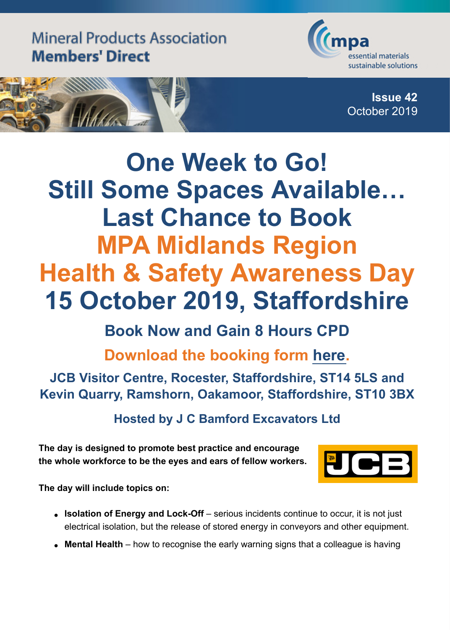

**Issue 42**

October 2019



## **One Week to Go! Still Some Spaces Available… Last Chance to Book MPA Midlands Region Health & Safety Awareness Day 15 October 2019, Staffordshire**

## **Book Now and Gain 8 Hours CPD**

**Download the booking form [here](https://mineralproducts.org/documents/Mid_SD_15_Oct_19_Booking_Form_2.doc).**

**JCB Visitor Centre, Rocester, Staffordshire, ST14 5LS and Kevin Quarry, Ramshorn, Oakamoor, Staffordshire, ST10 3BX**

**Hosted by J C Bamford Excavators Ltd**

**The day is designed to promote best practice and encourage the whole workforce to be the eyes and ears of fellow workers.**



**The day will include topics on:**

- **Isolation of Energy and Lock-Off** serious incidents continue to occur, it is not just electrical isolation, but the release of stored energy in conveyors and other equipment.
- **Mental Health** how to recognise the early warning signs that a colleague is having